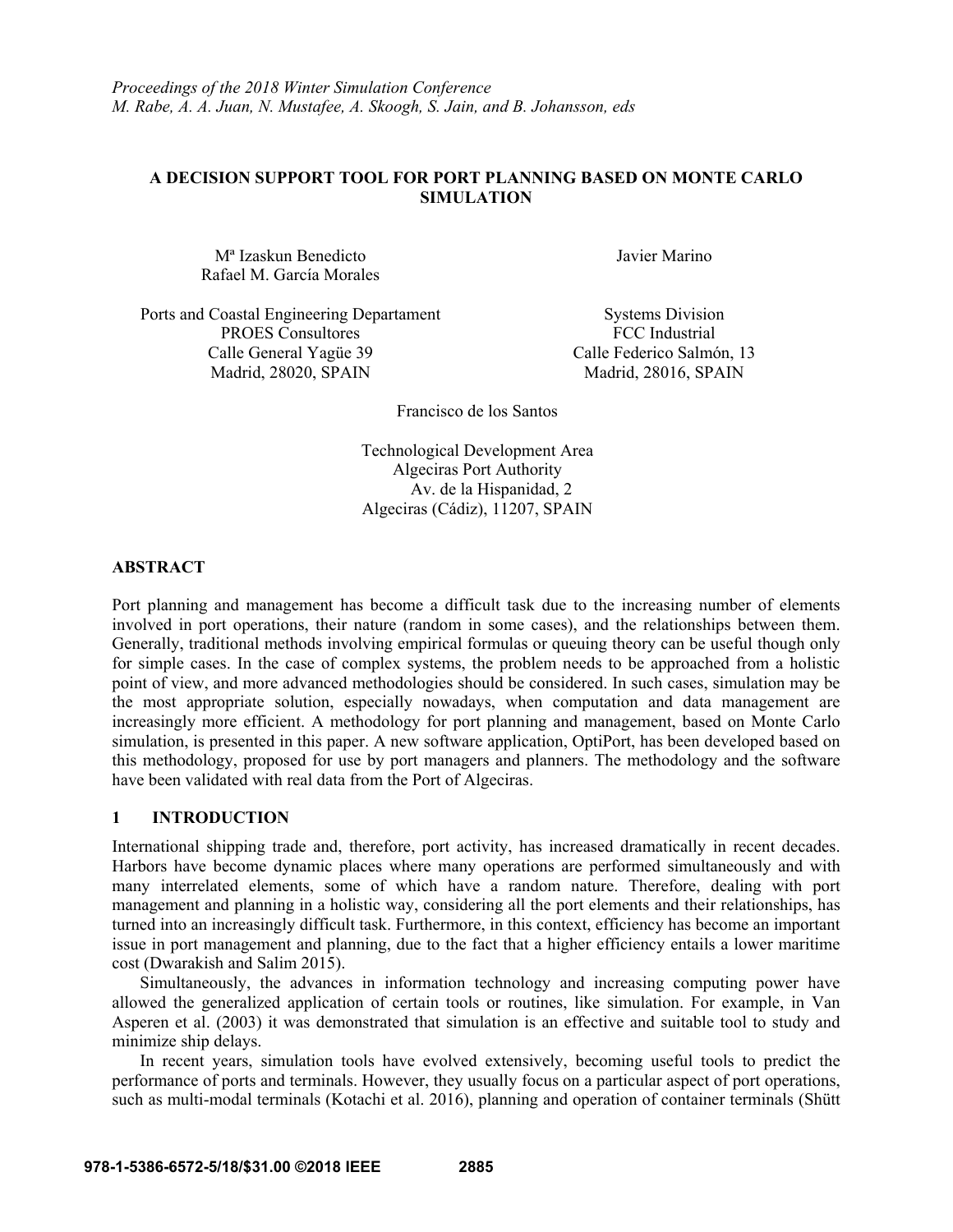# **A DECISION SUPPORT TOOL FOR PORT PLANNING BASED ON MONTE CARLO SIMULATION**

Mª Izaskun Benedicto Javier Marino Rafael M. García Morales

Ports and Coastal Engineering Departament Systems Division PROES Consultores FCC Industrial Calle General Yagüe 39 Calle Federico Salmón, 13 Madrid, 28020, SPAIN Madrid, 28016, SPAIN

Francisco de los Santos

Technological Development Area Algeciras Port Authority Av. de la Hispanidad, 2 Algeciras (Cádiz), 11207, SPAIN

## **ABSTRACT**

Port planning and management has become a difficult task due to the increasing number of elements involved in port operations, their nature (random in some cases), and the relationships between them. Generally, traditional methods involving empirical formulas or queuing theory can be useful though only for simple cases. In the case of complex systems, the problem needs to be approached from a holistic point of view, and more advanced methodologies should be considered. In such cases, simulation may be the most appropriate solution, especially nowadays, when computation and data management are increasingly more efficient. A methodology for port planning and management, based on Monte Carlo simulation, is presented in this paper. A new software application, OptiPort, has been developed based on this methodology, proposed for use by port managers and planners. The methodology and the software have been validated with real data from the Port of Algeciras.

# **1 INTRODUCTION**

International shipping trade and, therefore, port activity, has increased dramatically in recent decades. Harbors have become dynamic places where many operations are performed simultaneously and with many interrelated elements, some of which have a random nature. Therefore, dealing with port management and planning in a holistic way, considering all the port elements and their relationships, has turned into an increasingly difficult task. Furthermore, in this context, efficiency has become an important issue in port management and planning, due to the fact that a higher efficiency entails a lower maritime cost (Dwarakish and Salim 2015).

Simultaneously, the advances in information technology and increasing computing power have allowed the generalized application of certain tools or routines, like simulation. For example, in Van Asperen et al. (2003) it was demonstrated that simulation is an effective and suitable tool to study and minimize ship delays.

In recent years, simulation tools have evolved extensively, becoming useful tools to predict the performance of ports and terminals. However, they usually focus on a particular aspect of port operations, such as multi-modal terminals (Kotachi et al. 2016), planning and operation of container terminals (Shütt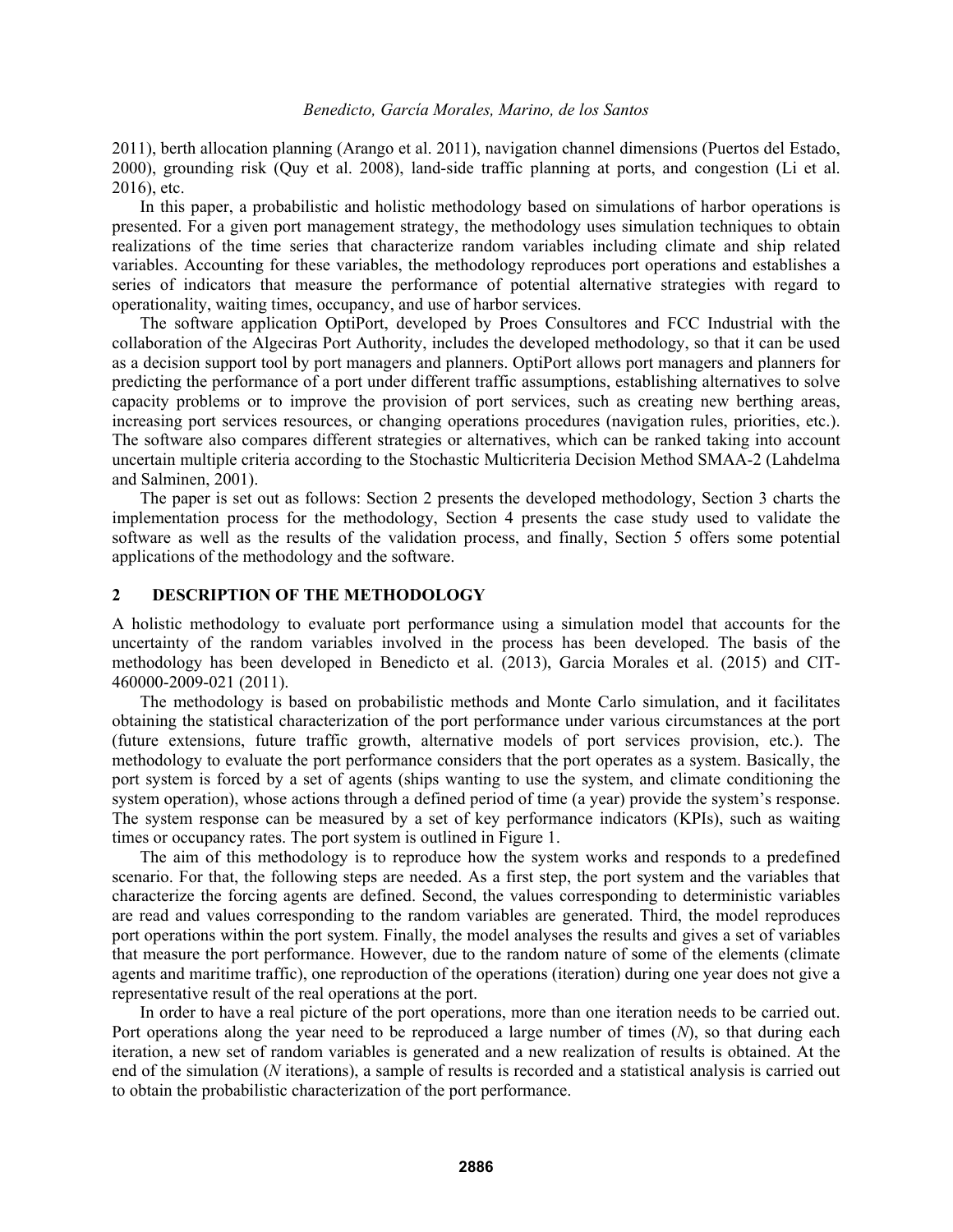2011), berth allocation planning (Arango et al. 2011), navigation channel dimensions (Puertos del Estado, 2000), grounding risk (Quy et al. 2008), land-side traffic planning at ports, and congestion (Li et al. 2016), etc.

In this paper, a probabilistic and holistic methodology based on simulations of harbor operations is presented. For a given port management strategy, the methodology uses simulation techniques to obtain realizations of the time series that characterize random variables including climate and ship related variables. Accounting for these variables, the methodology reproduces port operations and establishes a series of indicators that measure the performance of potential alternative strategies with regard to operationality, waiting times, occupancy, and use of harbor services.

 The software application OptiPort, developed by Proes Consultores and FCC Industrial with the collaboration of the Algeciras Port Authority, includes the developed methodology, so that it can be used as a decision support tool by port managers and planners. OptiPort allows port managers and planners for predicting the performance of a port under different traffic assumptions, establishing alternatives to solve capacity problems or to improve the provision of port services, such as creating new berthing areas, increasing port services resources, or changing operations procedures (navigation rules, priorities, etc.). The software also compares different strategies or alternatives, which can be ranked taking into account uncertain multiple criteria according to the Stochastic Multicriteria Decision Method SMAA-2 (Lahdelma and Salminen, 2001).

The paper is set out as follows: Section 2 presents the developed methodology, Section 3 charts the implementation process for the methodology, Section 4 presents the case study used to validate the software as well as the results of the validation process, and finally, Section 5 offers some potential applications of the methodology and the software.

### **2 DESCRIPTION OF THE METHODOLOGY**

A holistic methodology to evaluate port performance using a simulation model that accounts for the uncertainty of the random variables involved in the process has been developed. The basis of the methodology has been developed in Benedicto et al. (2013), Garcia Morales et al. (2015) and CIT-460000-2009-021 (2011).

The methodology is based on probabilistic methods and Monte Carlo simulation, and it facilitates obtaining the statistical characterization of the port performance under various circumstances at the port (future extensions, future traffic growth, alternative models of port services provision, etc.). The methodology to evaluate the port performance considers that the port operates as a system. Basically, the port system is forced by a set of agents (ships wanting to use the system, and climate conditioning the system operation), whose actions through a defined period of time (a year) provide the system's response. The system response can be measured by a set of key performance indicators (KPIs), such as waiting times or occupancy rates. The port system is outlined in Figure 1.

The aim of this methodology is to reproduce how the system works and responds to a predefined scenario. For that, the following steps are needed. As a first step, the port system and the variables that characterize the forcing agents are defined. Second, the values corresponding to deterministic variables are read and values corresponding to the random variables are generated. Third, the model reproduces port operations within the port system. Finally, the model analyses the results and gives a set of variables that measure the port performance. However, due to the random nature of some of the elements (climate agents and maritime traffic), one reproduction of the operations (iteration) during one year does not give a representative result of the real operations at the port.

In order to have a real picture of the port operations, more than one iteration needs to be carried out. Port operations along the year need to be reproduced a large number of times (*N*), so that during each iteration, a new set of random variables is generated and a new realization of results is obtained. At the end of the simulation (*N* iterations), a sample of results is recorded and a statistical analysis is carried out to obtain the probabilistic characterization of the port performance.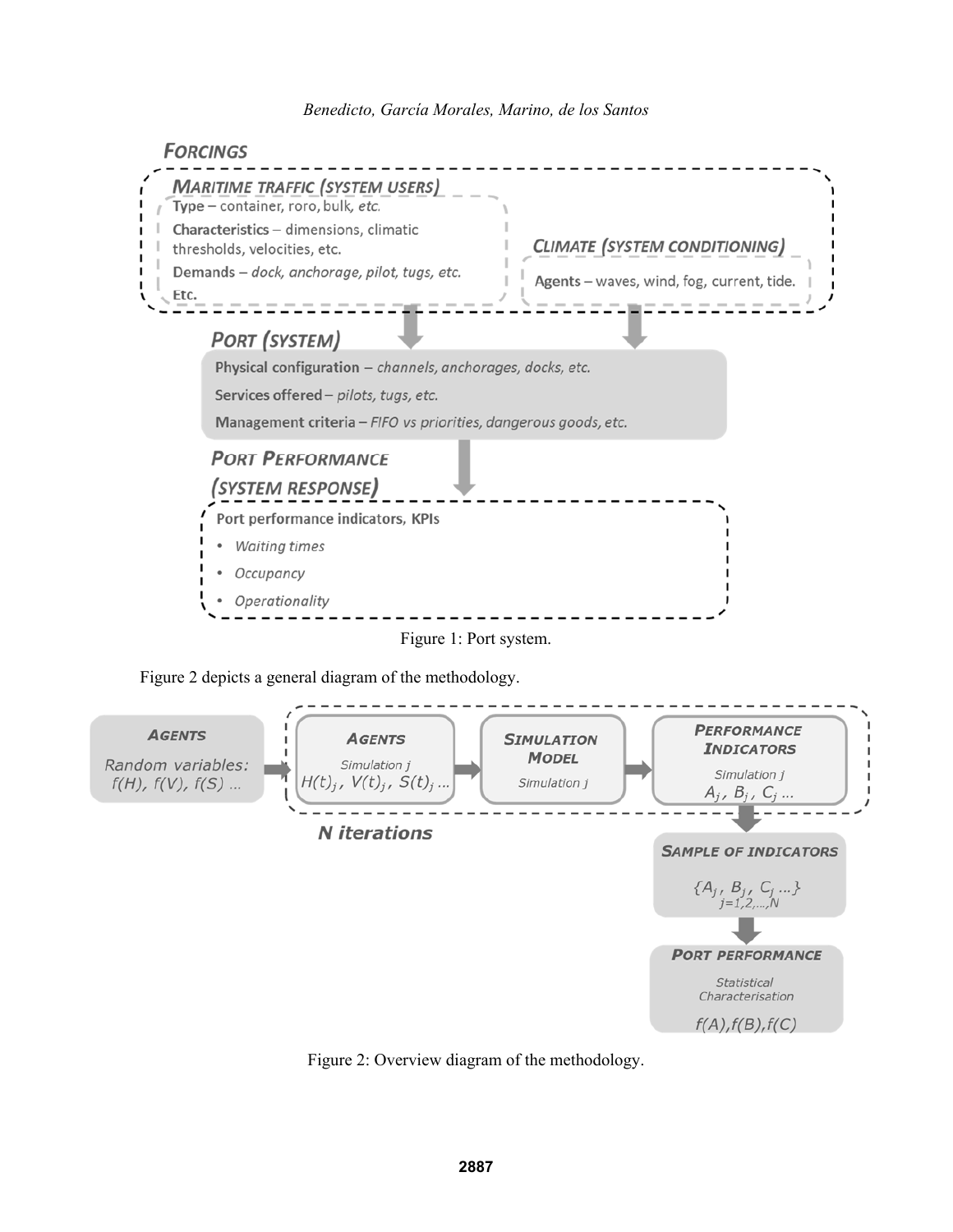

Figure 2 depicts a general diagram of the methodology.



Figure 2: Overview diagram of the methodology.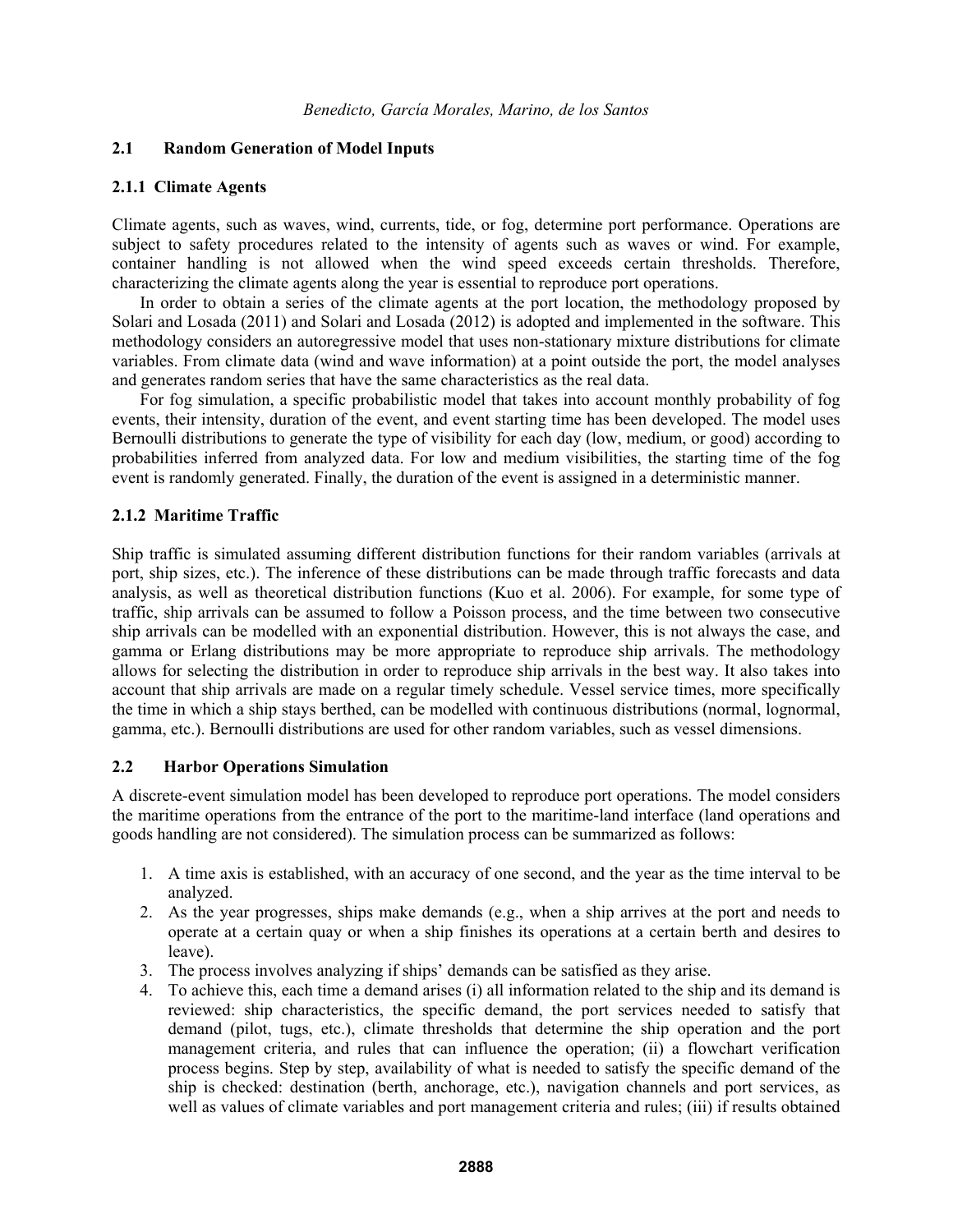## **2.1 Random Generation of Model Inputs**

## **2.1.1 Climate Agents**

Climate agents, such as waves, wind, currents, tide, or fog, determine port performance. Operations are subject to safety procedures related to the intensity of agents such as waves or wind. For example, container handling is not allowed when the wind speed exceeds certain thresholds. Therefore, characterizing the climate agents along the year is essential to reproduce port operations.

In order to obtain a series of the climate agents at the port location, the methodology proposed by Solari and Losada (2011) and Solari and Losada (2012) is adopted and implemented in the software. This methodology considers an autoregressive model that uses non-stationary mixture distributions for climate variables. From climate data (wind and wave information) at a point outside the port, the model analyses and generates random series that have the same characteristics as the real data.

For fog simulation, a specific probabilistic model that takes into account monthly probability of fog events, their intensity, duration of the event, and event starting time has been developed. The model uses Bernoulli distributions to generate the type of visibility for each day (low, medium, or good) according to probabilities inferred from analyzed data. For low and medium visibilities, the starting time of the fog event is randomly generated. Finally, the duration of the event is assigned in a deterministic manner.

### **2.1.2 Maritime Traffic**

Ship traffic is simulated assuming different distribution functions for their random variables (arrivals at port, ship sizes, etc.). The inference of these distributions can be made through traffic forecasts and data analysis, as well as theoretical distribution functions (Kuo et al. 2006). For example, for some type of traffic, ship arrivals can be assumed to follow a Poisson process, and the time between two consecutive ship arrivals can be modelled with an exponential distribution. However, this is not always the case, and gamma or Erlang distributions may be more appropriate to reproduce ship arrivals. The methodology allows for selecting the distribution in order to reproduce ship arrivals in the best way. It also takes into account that ship arrivals are made on a regular timely schedule. Vessel service times, more specifically the time in which a ship stays berthed, can be modelled with continuous distributions (normal, lognormal, gamma, etc.). Bernoulli distributions are used for other random variables, such as vessel dimensions.

## **2.2 Harbor Operations Simulation**

A discrete-event simulation model has been developed to reproduce port operations. The model considers the maritime operations from the entrance of the port to the maritime-land interface (land operations and goods handling are not considered). The simulation process can be summarized as follows:

- 1. A time axis is established, with an accuracy of one second, and the year as the time interval to be analyzed.
- 2. As the year progresses, ships make demands (e.g., when a ship arrives at the port and needs to operate at a certain quay or when a ship finishes its operations at a certain berth and desires to leave).
- 3. The process involves analyzing if ships' demands can be satisfied as they arise.
- 4. To achieve this, each time a demand arises (i) all information related to the ship and its demand is reviewed: ship characteristics, the specific demand, the port services needed to satisfy that demand (pilot, tugs, etc.), climate thresholds that determine the ship operation and the port management criteria, and rules that can influence the operation; (ii) a flowchart verification process begins. Step by step, availability of what is needed to satisfy the specific demand of the ship is checked: destination (berth, anchorage, etc.), navigation channels and port services, as well as values of climate variables and port management criteria and rules; (iii) if results obtained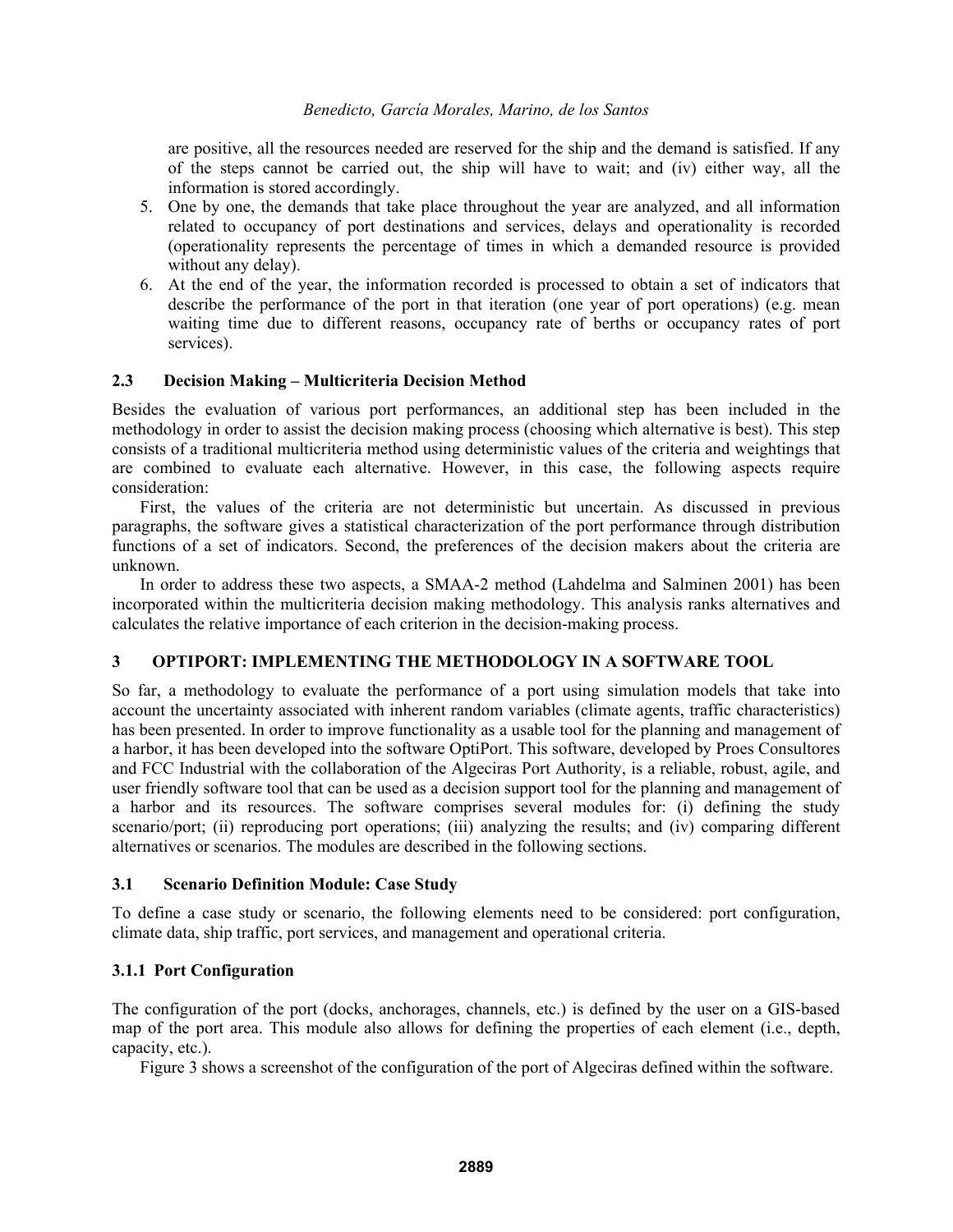are positive, all the resources needed are reserved for the ship and the demand is satisfied. If any of the steps cannot be carried out, the ship will have to wait; and (iv) either way, all the information is stored accordingly.

- 5. One by one, the demands that take place throughout the year are analyzed, and all information related to occupancy of port destinations and services, delays and operationality is recorded (operationality represents the percentage of times in which a demanded resource is provided without any delay).
- 6. At the end of the year, the information recorded is processed to obtain a set of indicators that describe the performance of the port in that iteration (one year of port operations) (e.g. mean waiting time due to different reasons, occupancy rate of berths or occupancy rates of port services).

# **2.3 Decision Making – Multicriteria Decision Method**

Besides the evaluation of various port performances, an additional step has been included in the methodology in order to assist the decision making process (choosing which alternative is best). This step consists of a traditional multicriteria method using deterministic values of the criteria and weightings that are combined to evaluate each alternative. However, in this case, the following aspects require consideration:

First, the values of the criteria are not deterministic but uncertain. As discussed in previous paragraphs, the software gives a statistical characterization of the port performance through distribution functions of a set of indicators. Second, the preferences of the decision makers about the criteria are unknown.

In order to address these two aspects, a SMAA-2 method (Lahdelma and Salminen 2001) has been incorporated within the multicriteria decision making methodology. This analysis ranks alternatives and calculates the relative importance of each criterion in the decision-making process.

# **3 OPTIPORT: IMPLEMENTING THE METHODOLOGY IN A SOFTWARE TOOL**

So far, a methodology to evaluate the performance of a port using simulation models that take into account the uncertainty associated with inherent random variables (climate agents, traffic characteristics) has been presented. In order to improve functionality as a usable tool for the planning and management of a harbor, it has been developed into the software OptiPort. This software, developed by Proes Consultores and FCC Industrial with the collaboration of the Algeciras Port Authority, is a reliable, robust, agile, and user friendly software tool that can be used as a decision support tool for the planning and management of a harbor and its resources. The software comprises several modules for: (i) defining the study scenario/port; (ii) reproducing port operations; (iii) analyzing the results; and (iv) comparing different alternatives or scenarios. The modules are described in the following sections.

# **3.1 Scenario Definition Module: Case Study**

To define a case study or scenario, the following elements need to be considered: port configuration, climate data, ship traffic, port services, and management and operational criteria.

# **3.1.1 Port Configuration**

The configuration of the port (docks, anchorages, channels, etc.) is defined by the user on a GIS-based map of the port area. This module also allows for defining the properties of each element (i.e., depth, capacity, etc.).

Figure 3 shows a screenshot of the configuration of the port of Algeciras defined within the software.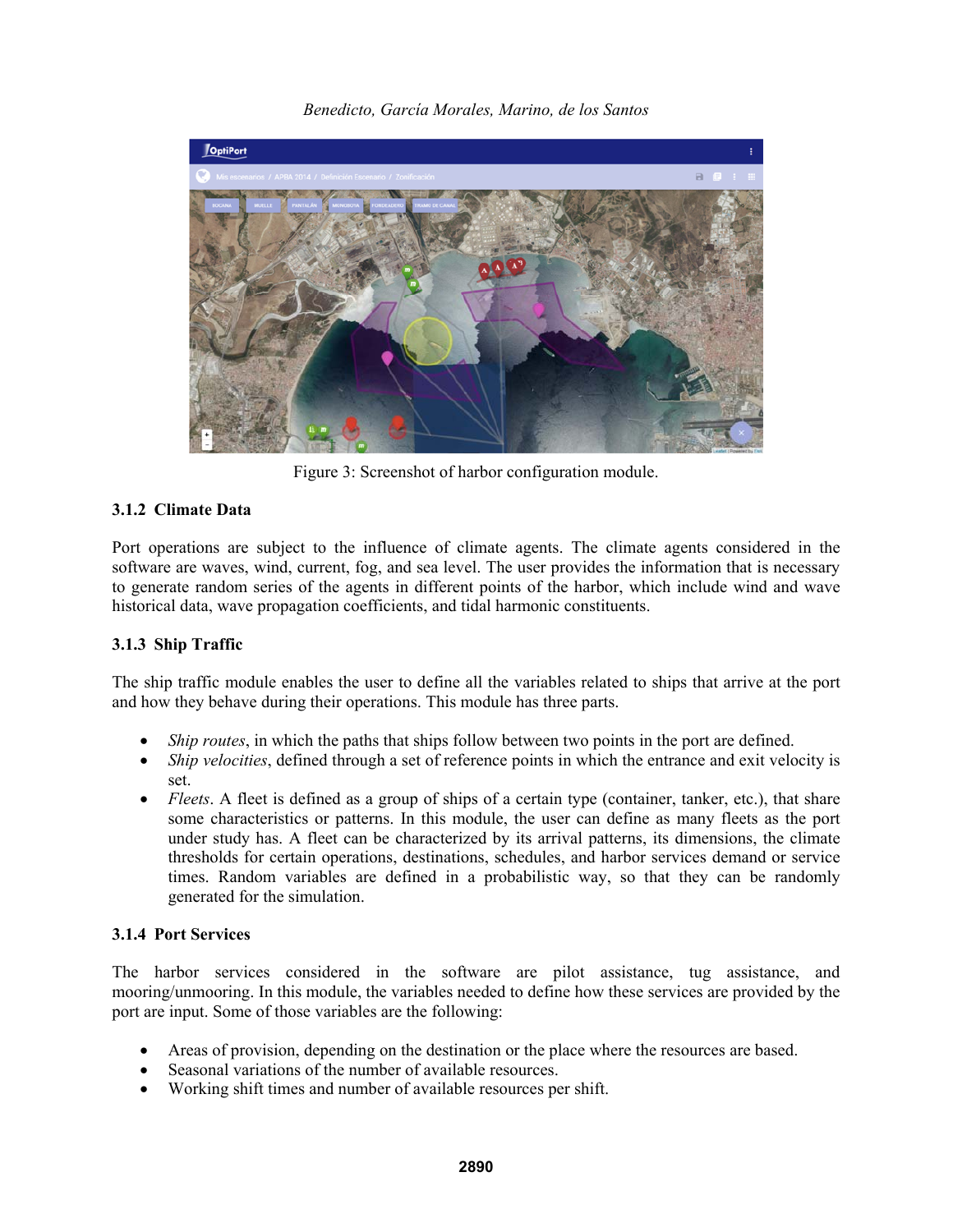

*Benedicto, García Morales, Marino, de los Santos* 

Figure 3: Screenshot of harbor configuration module.

# **3.1.2 Climate Data**

Port operations are subject to the influence of climate agents. The climate agents considered in the software are waves, wind, current, fog, and sea level. The user provides the information that is necessary to generate random series of the agents in different points of the harbor, which include wind and wave historical data, wave propagation coefficients, and tidal harmonic constituents.

# **3.1.3 Ship Traffic**

The ship traffic module enables the user to define all the variables related to ships that arrive at the port and how they behave during their operations. This module has three parts.

- *Ship routes*, in which the paths that ships follow between two points in the port are defined.
- *Ship velocities*, defined through a set of reference points in which the entrance and exit velocity is set.
- *Fleets*. A fleet is defined as a group of ships of a certain type (container, tanker, etc.), that share some characteristics or patterns. In this module, the user can define as many fleets as the port under study has. A fleet can be characterized by its arrival patterns, its dimensions, the climate thresholds for certain operations, destinations, schedules, and harbor services demand or service times. Random variables are defined in a probabilistic way, so that they can be randomly generated for the simulation.

# **3.1.4 Port Services**

The harbor services considered in the software are pilot assistance, tug assistance, and mooring/unmooring. In this module, the variables needed to define how these services are provided by the port are input. Some of those variables are the following:

- Areas of provision, depending on the destination or the place where the resources are based.
- Seasonal variations of the number of available resources.
- Working shift times and number of available resources per shift.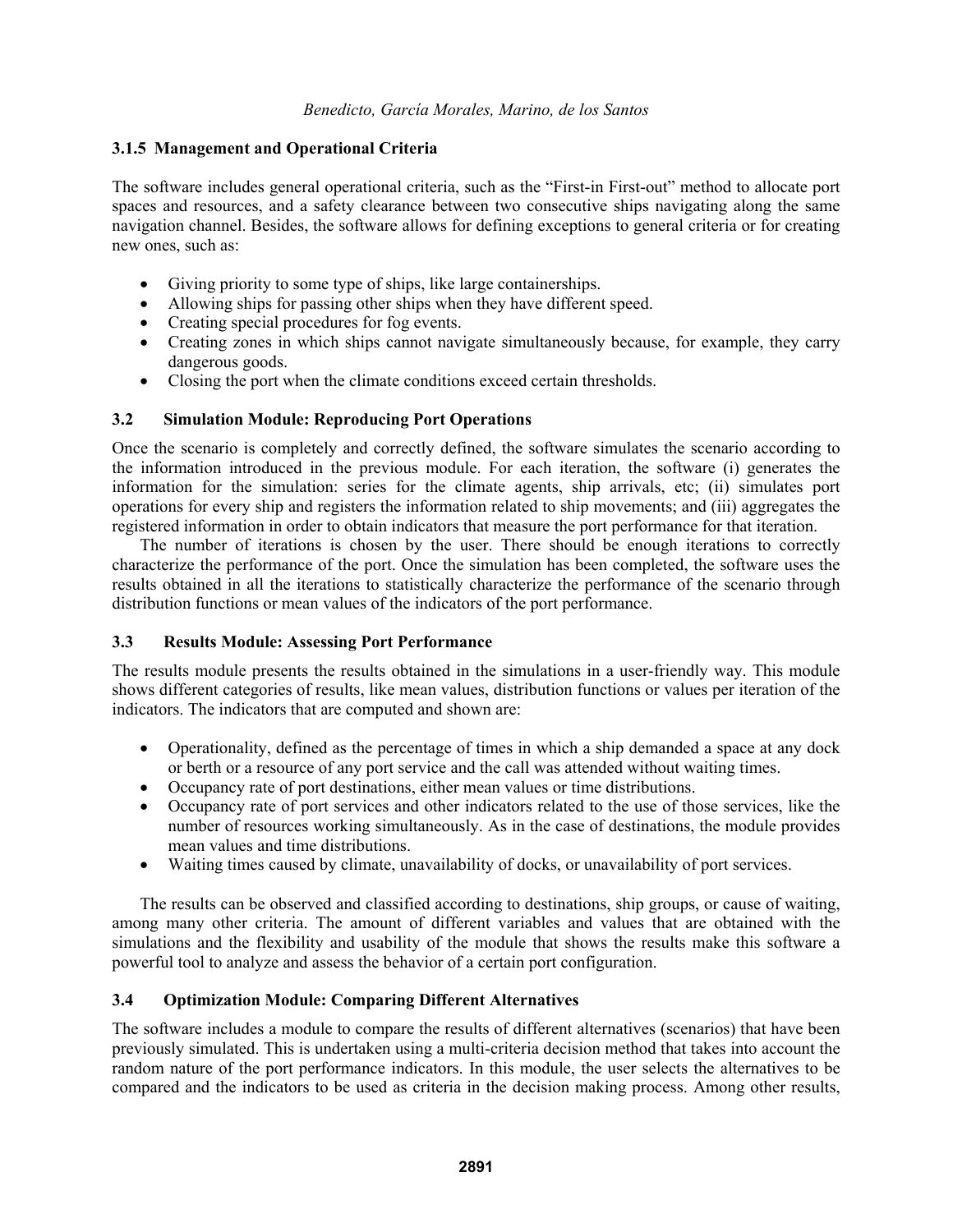# **3.1.5 Management and Operational Criteria**

The software includes general operational criteria, such as the "First-in First-out" method to allocate port spaces and resources, and a safety clearance between two consecutive ships navigating along the same navigation channel. Besides, the software allows for defining exceptions to general criteria or for creating new ones, such as:

- Giving priority to some type of ships, like large containerships.
- Allowing ships for passing other ships when they have different speed.
- Creating special procedures for fog events.
- Creating zones in which ships cannot navigate simultaneously because, for example, they carry dangerous goods.
- Closing the port when the climate conditions exceed certain thresholds.

# **3.2 Simulation Module: Reproducing Port Operations**

Once the scenario is completely and correctly defined, the software simulates the scenario according to the information introduced in the previous module. For each iteration, the software (i) generates the information for the simulation: series for the climate agents, ship arrivals, etc; (ii) simulates port operations for every ship and registers the information related to ship movements; and (iii) aggregates the registered information in order to obtain indicators that measure the port performance for that iteration.

The number of iterations is chosen by the user. There should be enough iterations to correctly characterize the performance of the port. Once the simulation has been completed, the software uses the results obtained in all the iterations to statistically characterize the performance of the scenario through distribution functions or mean values of the indicators of the port performance.

# **3.3 Results Module: Assessing Port Performance**

The results module presents the results obtained in the simulations in a user-friendly way. This module shows different categories of results, like mean values, distribution functions or values per iteration of the indicators. The indicators that are computed and shown are:

- Operationality, defined as the percentage of times in which a ship demanded a space at any dock or berth or a resource of any port service and the call was attended without waiting times.
- Occupancy rate of port destinations, either mean values or time distributions.
- Occupancy rate of port services and other indicators related to the use of those services, like the number of resources working simultaneously. As in the case of destinations, the module provides mean values and time distributions.
- Waiting times caused by climate, unavailability of docks, or unavailability of port services.

The results can be observed and classified according to destinations, ship groups, or cause of waiting, among many other criteria. The amount of different variables and values that are obtained with the simulations and the flexibility and usability of the module that shows the results make this software a powerful tool to analyze and assess the behavior of a certain port configuration.

# **3.4 Optimization Module: Comparing Different Alternatives**

The software includes a module to compare the results of different alternatives (scenarios) that have been previously simulated. This is undertaken using a multi-criteria decision method that takes into account the random nature of the port performance indicators. In this module, the user selects the alternatives to be compared and the indicators to be used as criteria in the decision making process. Among other results,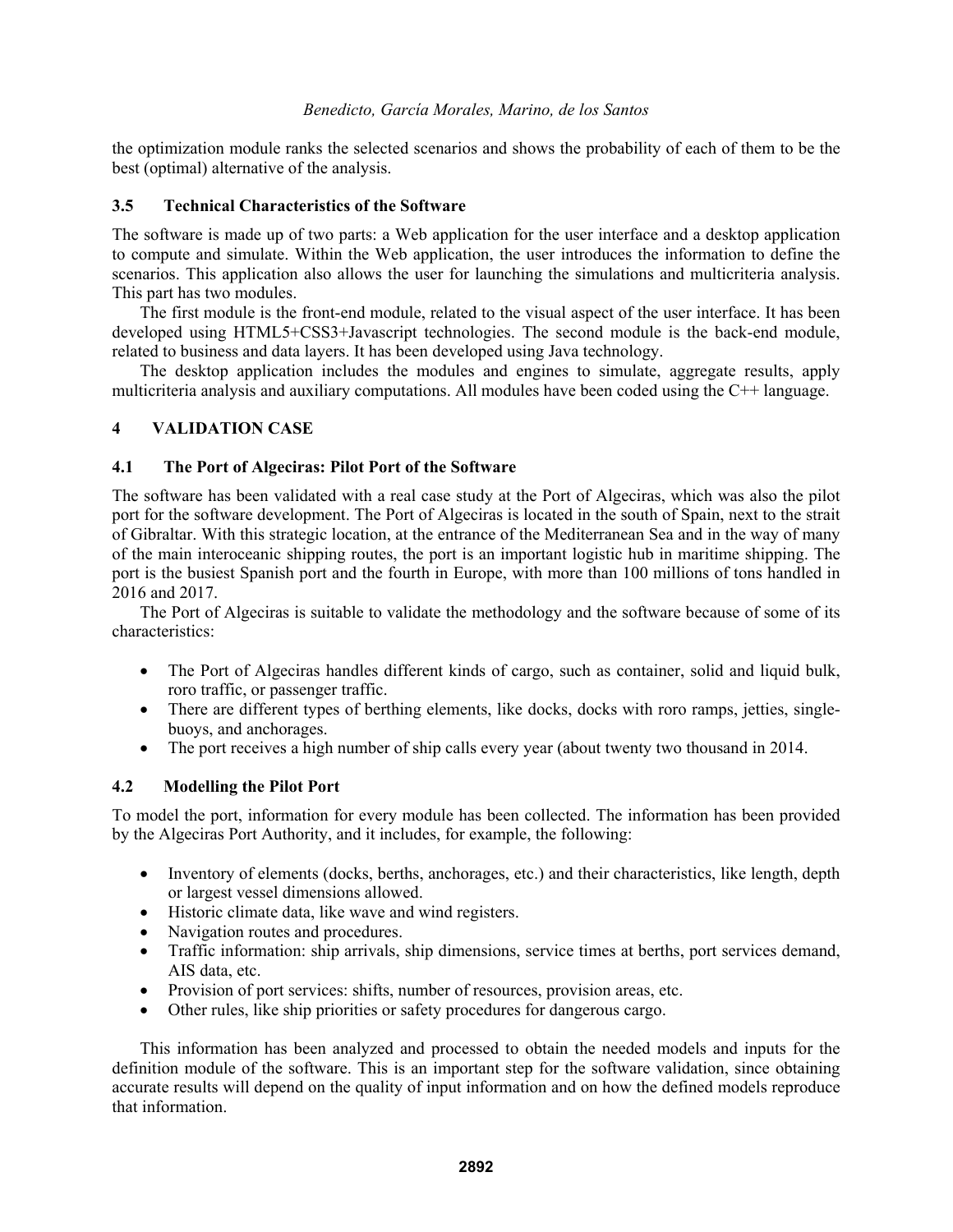the optimization module ranks the selected scenarios and shows the probability of each of them to be the best (optimal) alternative of the analysis.

## **3.5 Technical Characteristics of the Software**

The software is made up of two parts: a Web application for the user interface and a desktop application to compute and simulate. Within the Web application, the user introduces the information to define the scenarios. This application also allows the user for launching the simulations and multicriteria analysis. This part has two modules.

The first module is the front-end module, related to the visual aspect of the user interface. It has been developed using HTML5+CSS3+Javascript technologies. The second module is the back-end module, related to business and data layers. It has been developed using Java technology.

The desktop application includes the modules and engines to simulate, aggregate results, apply multicriteria analysis and auxiliary computations. All modules have been coded using the C++ language.

# **4 VALIDATION CASE**

## **4.1 The Port of Algeciras: Pilot Port of the Software**

The software has been validated with a real case study at the Port of Algeciras, which was also the pilot port for the software development. The Port of Algeciras is located in the south of Spain, next to the strait of Gibraltar. With this strategic location, at the entrance of the Mediterranean Sea and in the way of many of the main interoceanic shipping routes, the port is an important logistic hub in maritime shipping. The port is the busiest Spanish port and the fourth in Europe, with more than 100 millions of tons handled in 2016 and 2017.

The Port of Algeciras is suitable to validate the methodology and the software because of some of its characteristics:

- The Port of Algeciras handles different kinds of cargo, such as container, solid and liquid bulk, roro traffic, or passenger traffic.
- There are different types of berthing elements, like docks, docks with roro ramps, jetties, singlebuoys, and anchorages.
- The port receives a high number of ship calls every year (about twenty two thousand in 2014.

# **4.2 Modelling the Pilot Port**

To model the port, information for every module has been collected. The information has been provided by the Algeciras Port Authority, and it includes, for example, the following:

- Inventory of elements (docks, berths, anchorages, etc.) and their characteristics, like length, depth or largest vessel dimensions allowed.
- Historic climate data, like wave and wind registers.
- Navigation routes and procedures.
- Traffic information: ship arrivals, ship dimensions, service times at berths, port services demand, AIS data, etc.
- Provision of port services: shifts, number of resources, provision areas, etc.
- Other rules, like ship priorities or safety procedures for dangerous cargo.

This information has been analyzed and processed to obtain the needed models and inputs for the definition module of the software. This is an important step for the software validation, since obtaining accurate results will depend on the quality of input information and on how the defined models reproduce that information.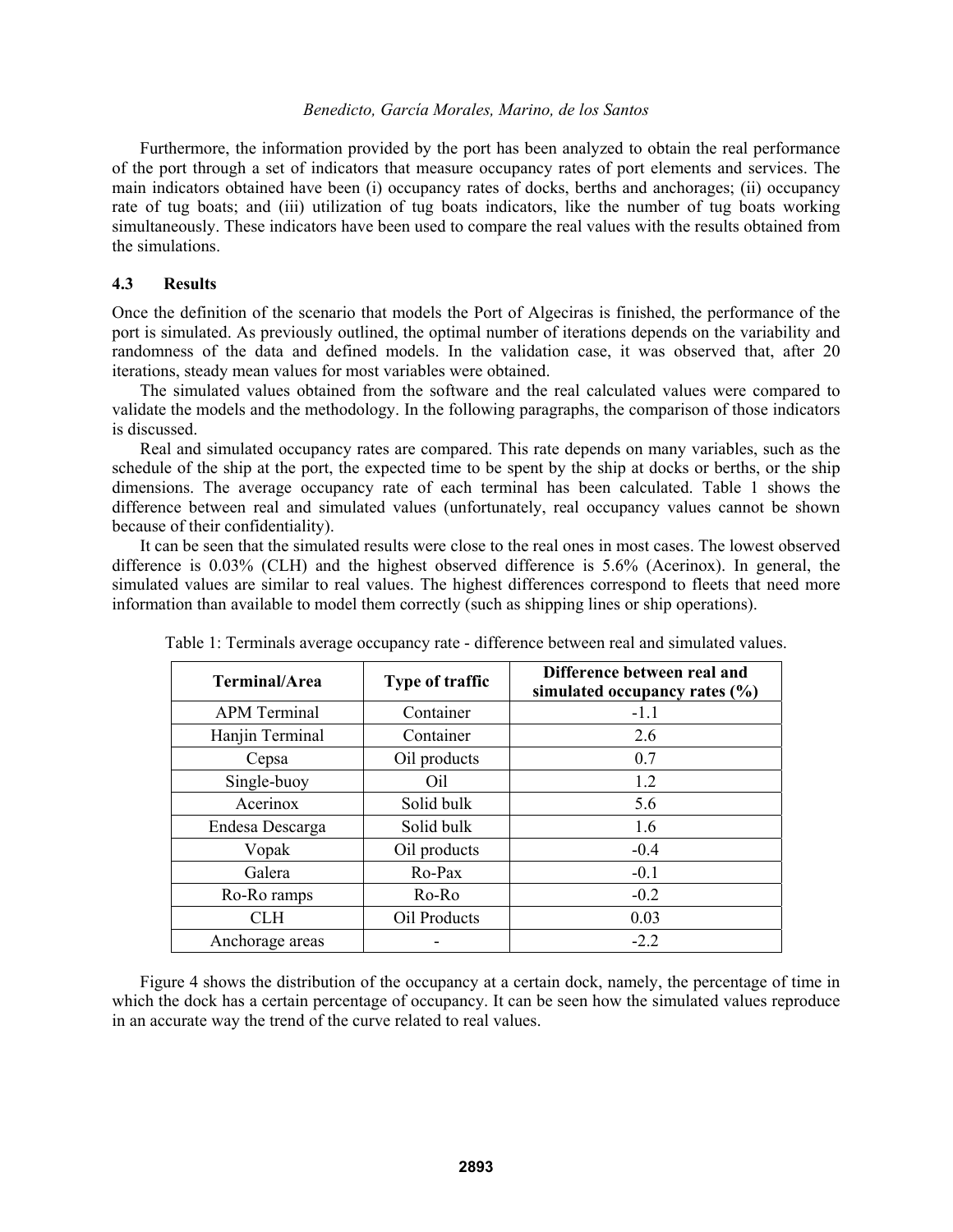Furthermore, the information provided by the port has been analyzed to obtain the real performance of the port through a set of indicators that measure occupancy rates of port elements and services. The main indicators obtained have been (i) occupancy rates of docks, berths and anchorages; (ii) occupancy rate of tug boats; and (iii) utilization of tug boats indicators, like the number of tug boats working simultaneously. These indicators have been used to compare the real values with the results obtained from the simulations.

#### **4.3 Results**

Once the definition of the scenario that models the Port of Algeciras is finished, the performance of the port is simulated. As previously outlined, the optimal number of iterations depends on the variability and randomness of the data and defined models. In the validation case, it was observed that, after 20 iterations, steady mean values for most variables were obtained.

The simulated values obtained from the software and the real calculated values were compared to validate the models and the methodology. In the following paragraphs, the comparison of those indicators is discussed.

Real and simulated occupancy rates are compared. This rate depends on many variables, such as the schedule of the ship at the port, the expected time to be spent by the ship at docks or berths, or the ship dimensions. The average occupancy rate of each terminal has been calculated. Table 1 shows the difference between real and simulated values (unfortunately, real occupancy values cannot be shown because of their confidentiality).

It can be seen that the simulated results were close to the real ones in most cases. The lowest observed difference is 0.03% (CLH) and the highest observed difference is 5.6% (Acerinox). In general, the simulated values are similar to real values. The highest differences correspond to fleets that need more information than available to model them correctly (such as shipping lines or ship operations).

| <b>Terminal/Area</b> | Type of traffic | Difference between real and<br>simulated occupancy rates (%) |
|----------------------|-----------------|--------------------------------------------------------------|
| <b>APM</b> Terminal  | Container       | $-1.1$                                                       |
| Hanjin Terminal      | Container       | 2.6                                                          |
| Cepsa                | Oil products    | 0.7                                                          |
| Single-buoy          | Oil.            | 1.2                                                          |
| Acerinox             | Solid bulk      | 5.6                                                          |
| Endesa Descarga      | Solid bulk      | 1.6                                                          |
| Vopak                | Oil products    | $-0.4$                                                       |
| Galera               | Ro-Pax          | $-0.1$                                                       |
| Ro-Ro ramps          | Ro-Ro           | $-0.2$                                                       |
| CLH                  | Oil Products    | 0.03                                                         |
| Anchorage areas      |                 | $-2.2$                                                       |

Table 1: Terminals average occupancy rate - difference between real and simulated values.

Figure 4 shows the distribution of the occupancy at a certain dock, namely, the percentage of time in which the dock has a certain percentage of occupancy. It can be seen how the simulated values reproduce in an accurate way the trend of the curve related to real values.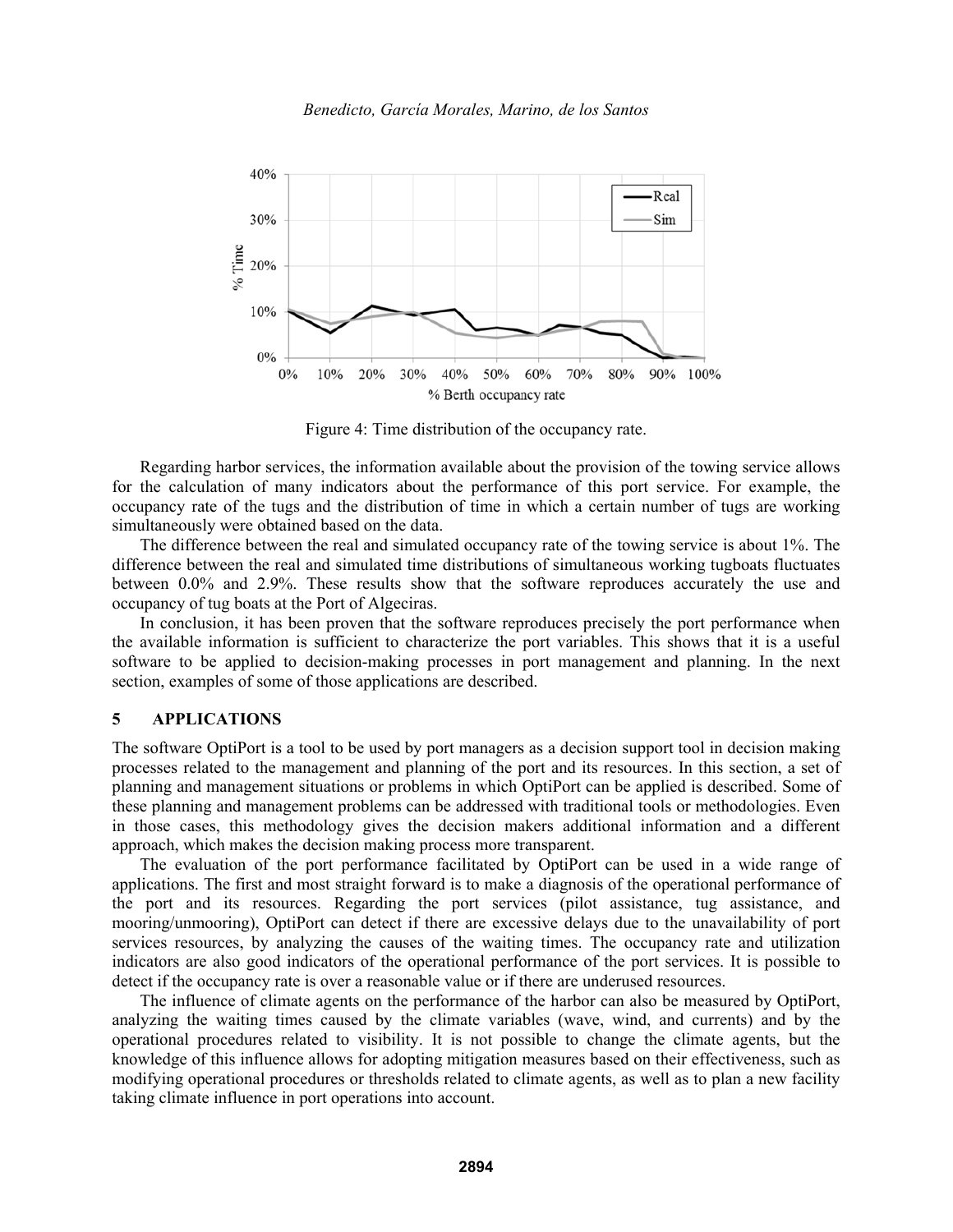



Figure 4: Time distribution of the occupancy rate.

Regarding harbor services, the information available about the provision of the towing service allows for the calculation of many indicators about the performance of this port service. For example, the occupancy rate of the tugs and the distribution of time in which a certain number of tugs are working simultaneously were obtained based on the data.

The difference between the real and simulated occupancy rate of the towing service is about 1%. The difference between the real and simulated time distributions of simultaneous working tugboats fluctuates between 0.0% and 2.9%. These results show that the software reproduces accurately the use and occupancy of tug boats at the Port of Algeciras.

In conclusion, it has been proven that the software reproduces precisely the port performance when the available information is sufficient to characterize the port variables. This shows that it is a useful software to be applied to decision-making processes in port management and planning. In the next section, examples of some of those applications are described.

## **5 APPLICATIONS**

The software OptiPort is a tool to be used by port managers as a decision support tool in decision making processes related to the management and planning of the port and its resources. In this section, a set of planning and management situations or problems in which OptiPort can be applied is described. Some of these planning and management problems can be addressed with traditional tools or methodologies. Even in those cases, this methodology gives the decision makers additional information and a different approach, which makes the decision making process more transparent.

The evaluation of the port performance facilitated by OptiPort can be used in a wide range of applications. The first and most straight forward is to make a diagnosis of the operational performance of the port and its resources. Regarding the port services (pilot assistance, tug assistance, and mooring/unmooring), OptiPort can detect if there are excessive delays due to the unavailability of port services resources, by analyzing the causes of the waiting times. The occupancy rate and utilization indicators are also good indicators of the operational performance of the port services. It is possible to detect if the occupancy rate is over a reasonable value or if there are underused resources.

The influence of climate agents on the performance of the harbor can also be measured by OptiPort, analyzing the waiting times caused by the climate variables (wave, wind, and currents) and by the operational procedures related to visibility. It is not possible to change the climate agents, but the knowledge of this influence allows for adopting mitigation measures based on their effectiveness, such as modifying operational procedures or thresholds related to climate agents, as well as to plan a new facility taking climate influence in port operations into account.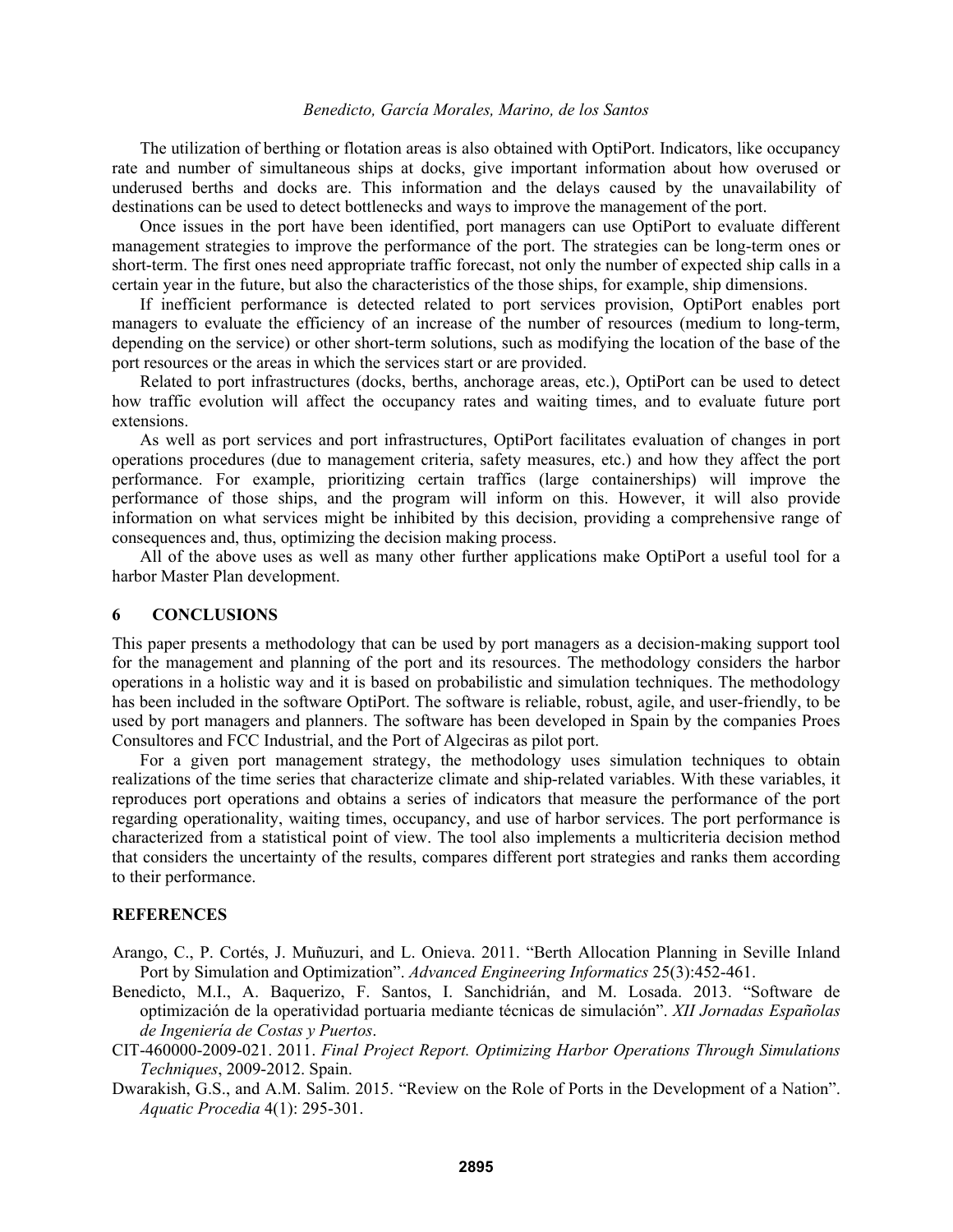The utilization of berthing or flotation areas is also obtained with OptiPort. Indicators, like occupancy rate and number of simultaneous ships at docks, give important information about how overused or underused berths and docks are. This information and the delays caused by the unavailability of destinations can be used to detect bottlenecks and ways to improve the management of the port.

Once issues in the port have been identified, port managers can use OptiPort to evaluate different management strategies to improve the performance of the port. The strategies can be long-term ones or short-term. The first ones need appropriate traffic forecast, not only the number of expected ship calls in a certain year in the future, but also the characteristics of the those ships, for example, ship dimensions.

If inefficient performance is detected related to port services provision, OptiPort enables port managers to evaluate the efficiency of an increase of the number of resources (medium to long-term, depending on the service) or other short-term solutions, such as modifying the location of the base of the port resources or the areas in which the services start or are provided.

Related to port infrastructures (docks, berths, anchorage areas, etc.), OptiPort can be used to detect how traffic evolution will affect the occupancy rates and waiting times, and to evaluate future port extensions.

As well as port services and port infrastructures, OptiPort facilitates evaluation of changes in port operations procedures (due to management criteria, safety measures, etc.) and how they affect the port performance. For example, prioritizing certain traffics (large containerships) will improve the performance of those ships, and the program will inform on this. However, it will also provide information on what services might be inhibited by this decision, providing a comprehensive range of consequences and, thus, optimizing the decision making process.

All of the above uses as well as many other further applications make OptiPort a useful tool for a harbor Master Plan development.

## **6 CONCLUSIONS**

This paper presents a methodology that can be used by port managers as a decision-making support tool for the management and planning of the port and its resources. The methodology considers the harbor operations in a holistic way and it is based on probabilistic and simulation techniques. The methodology has been included in the software OptiPort. The software is reliable, robust, agile, and user-friendly, to be used by port managers and planners. The software has been developed in Spain by the companies Proes Consultores and FCC Industrial, and the Port of Algeciras as pilot port.

For a given port management strategy, the methodology uses simulation techniques to obtain realizations of the time series that characterize climate and ship-related variables. With these variables, it reproduces port operations and obtains a series of indicators that measure the performance of the port regarding operationality, waiting times, occupancy, and use of harbor services. The port performance is characterized from a statistical point of view. The tool also implements a multicriteria decision method that considers the uncertainty of the results, compares different port strategies and ranks them according to their performance.

### **REFERENCES**

- Arango, C., P. Cortés, J. Muñuzuri, and L. Onieva. 2011. "Berth Allocation Planning in Seville Inland Port by Simulation and Optimization". *Advanced Engineering Informatics* 25(3):452-461.
- Benedicto, M.I., A. Baquerizo, F. Santos, I. Sanchidrián, and M. Losada. 2013. "Software de optimización de la operatividad portuaria mediante técnicas de simulación". *XII Jornadas Españolas de Ingeniería de Costas y Puertos*.
- CIT-460000-2009-021. 2011. *Final Project Report. Optimizing Harbor Operations Through Simulations Techniques*, 2009-2012. Spain.
- Dwarakish, G.S., and A.M. Salim. 2015. "Review on the Role of Ports in the Development of a Nation". *Aquatic Procedia* 4(1): 295-301.